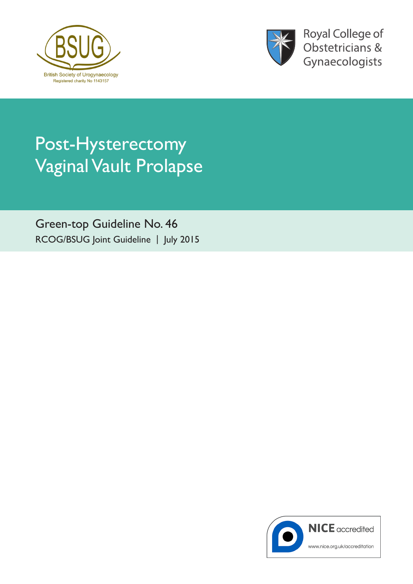



**Royal College of** Obstetricians & Gynaecologists

# Post-Hysterectomy Vaginal Vault Prolapse

Green-top Guideline No. 46 RCOG/BSUG Joint Guideline | July 2015

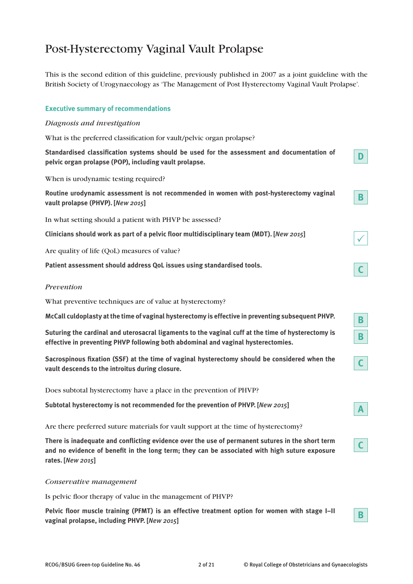## Post-Hysterectomy Vaginal Vault Prolapse

This is the second edition of this guideline, previously published in 2007 as a joint guideline with the British Society of Urogynaecology as 'The Management of Post Hysterectomy Vaginal Vault Prolapse'.

## **Executive summary of recommendations**

#### *Diagnosis and investigation*

What is the preferred classification for vault/pelvic organ prolapse?

**Standardised classification systems should be used for the assessment and documentation of pelvic organ prolapse (POP), including vault prolapse.**

When is urodynamic testing required?

**Routine urodynamic assessment is not recommended in women with post-hysterectomy vaginal vault prolapse (PHVP). [***New 2015***]**

In what setting should a patient with PHVP be assessed?

**Clinicians should work as part of a pelvic floor multidisciplinary team (MDT). [***New 2015***]**

Are quality of life (QoL) measures of value?

**Patient assessment should address QoL issues using standardised tools.**

#### *Prevention*

What preventive techniques are of value at hysterectomy?

**McCall culdoplasty at the time of vaginal hysterectomy is effective in preventing subsequent PHVP.** 

**Suturing the cardinal and uterosacral ligaments to the vaginal cuff at the time of hysterectomy is effective in preventing PHVP following both abdominal and vaginal hysterectomies.**

**Sacrospinous fixation (SSF) at the time of vaginal hysterectomy should be considered when the vault descends to the introitus during closure.**

Does subtotal hysterectomy have a place in the prevention of PHVP?

**Subtotal hysterectomy is not recommended for the prevention of PHVP. [***New 2015***]**

Are there preferred suture materials for vault support at the time of hysterectomy?

**There is inadequate and conflicting evidence over the use of permanent sutures in the short term and no evidence of benefit in the long term; they can be associated with high suture exposure rates. [***New 2015***]**

#### *Conservative management*

Is pelvic floor therapy of value in the management of PHVP?

**Pelvic floor muscle training (PFMT) is an effective treatment option for women with stage I–II vaginal prolapse, including PHVP. [***New 2015***]**

 $\checkmark$ 

**C**

**B**

**B**

**C**

**D**

**B**

**A**

**C**

**B**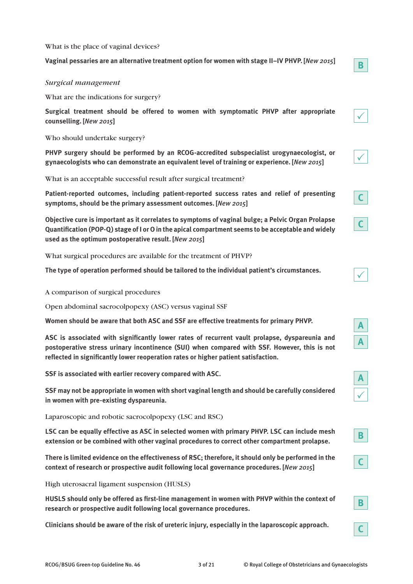What is the place of vaginal devices?

**Vaginal pessaries are an alternative treatment option for women with stage II–IV PHVP. [***New 2015***]**

## *Surgical management*

What are the indications for surgery?

**Surgical treatment should be offered to women with symptomatic PHVP after appropriate counselling. [***New 2015***]**

Who should undertake surgery?

**PHVP surgery should be performed by an RCOG-accredited subspecialist urogynaecologist, or gynaecologists who can demonstrate an equivalent level of training or experience. [***New 2015***]**

What is an acceptable successful result after surgical treatment?

**Patient-reported outcomes, including patient-reported success rates and relief of presenting symptoms, should be the primary assessment outcomes. [***New 2015***]**

**Objective cure is important as it correlates to symptoms of vaginal bulge; a Pelvic Organ Prolapse Quantification (POP-Q) stage of I or O in the apical compartment seems to be acceptable and widely used as the optimum postoperative result. [***New 2015***]**

What surgical procedures are available for the treatment of PHVP?

**The type of operation performed should be tailored to the individual patient's circumstances.**

A comparison of surgical procedures

Open abdominal sacrocolpopexy (ASC) versus vaginal SSF

**Women should be aware that both ASC and SSF are effective treatments for primary PHVP.** 

**ASC is associated with significantly lower rates of recurrent vault prolapse, dyspareunia and postoperative stress urinary incontinence (SUI) when compared with SSF. However, this is not reflected in significantly lower reoperation rates or higher patient satisfaction.**

**SSF is associated with earlier recovery compared with ASC.**

**SSF may not be appropriate in women with short vaginal length and should be carefully considered in women with pre-existing dyspareunia.**

Laparoscopic and robotic sacrocolpopexy (LSC and RSC)

**LSC can be equally effective as ASC in selected women with primary PHVP. LSC can include mesh extension or be combined with other vaginal procedures to correct other compartment prolapse.**

**There is limited evidence on the effectiveness of RSC; therefore, it should only be performed in the context of research or prospective audit following local governance procedures. [***New 2015***]**

High uterosacral ligament suspension (HUSLS)

**HUSLS should only be offered as first-line management in women with PHVP within the context of research or prospective audit following local governance procedures.**

**Clinicians should be aware of the risk of ureteric injury, especially in the laparoscopic approach.**

**B**

| ł |  |
|---|--|
|   |  |

|--|

|--|

|--|

|--|

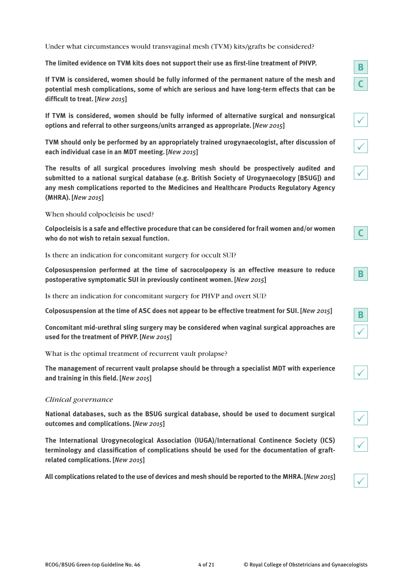Under what circumstances would transvaginal mesh (TVM) kits/grafts be considered?

**The limited evidence on TVM kits does not support their use as first-line treatment of PHVP.**

**If TVM is considered, women should be fully informed of the permanent nature of the mesh and potential mesh complications, some of which are serious and have long-term effects that can be difficult to treat. [***New 2015***]**

**If TVM is considered, women should be fully informed of alternative surgical and nonsurgical options and referral to other surgeons/units arranged as appropriate. [***New 2015***]**

**TVM should only be performed by an appropriately trained urogynaecologist, after discussion of each individual case in an MDT meeting. [***New 2015***]**

**The results of all surgical procedures involving mesh should be prospectively audited and submitted to a national surgical database (e.g. British Society of Urogynaecology [BSUG]) and any mesh complications reported to the Medicines and Healthcare Products Regulatory Agency (MHRA). [***New 2015***]**

When should colpocleisis be used?

**Colpocleisis is a safe and effective procedure that can be considered for frail women and/or women who do not wish to retain sexual function.**

Is there an indication for concomitant surgery for occult SUI?

**Colposuspension performed at the time of sacrocolpopexy is an effective measure to reduce postoperative symptomatic SUI in previously continent women. [***New 2015***]**

Is there an indication for concomitant surgery for PHVP and overt SUI?

**Colposuspension at the time of ASC does not appear to be effective treatment for SUI. [***New 2015***]**

**Concomitant mid-urethral sling surgery may be considered when vaginal surgical approaches are used for the treatment of PHVP. [***New 2015***]**

What is the optimal treatment of recurrent vault prolapse?

**The management of recurrent vault prolapse should be through a specialist MDT with experience and training in this field. [***New 2015***]**

## *Clinical governance*

**National databases, such as the BSUG surgical database, should be used to document surgical outcomes and complications. [***New 2015***]**

**The International Urogynecological Association (IUGA)/International Continence Society (ICS) terminology and classification of complications should be used for the documentation of graftrelated complications. [***New 2015***]**

**All complications related to the use of devices and mesh should be reported to the MHRA. [***New 2015***]**

|--|

 $\checkmark$ 

| ∕ |  |
|---|--|

|--|

 $\checkmark$ 

|--|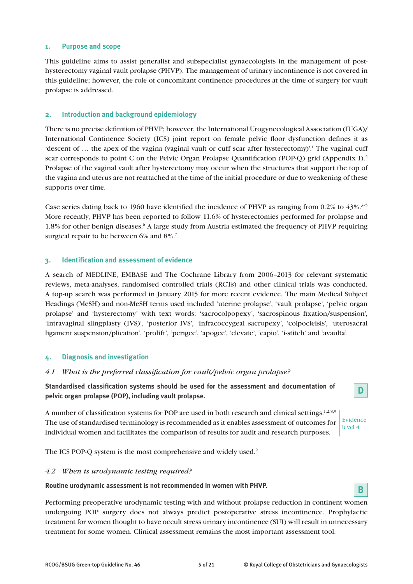### **1. Purpose and scope**

This guideline aims to assist generalist and subspecialist gynaecologists in the management of posthysterectomy vaginal vault prolapse (PHVP). The management of urinary incontinence is not covered in this guideline; however, the role of concomitant continence procedures at the time of surgery for vault prolapse is addressed.

## **2. Introduction and background epidemiology**

There is no precise definition of PHVP; however, the International Urogynecological Association (IUGA)/ International Continence Society (ICS) joint report on female pelvic floor dysfunction defines it as 'descent of ... the apex of the vagina (vaginal vault or cuff scar after hysterectomy)'.<sup>1</sup> The vaginal cuff scar corresponds to point C on the Pelvic Organ Prolapse Quantification (POP-Q) grid (Appendix I).<sup>2</sup> Prolapse of the vaginal vault after hysterectomy may occur when the structures that support the top of the vagina and uterus are not reattached at the time of the initial procedure or due to weakening of these supports over time.

Case series dating back to 1960 have identified the incidence of PHVP as ranging from  $0.2\%$  to  $43\%$ .<sup>3-5</sup> More recently, PHVP has been reported to follow 11.6% of hysterectomies performed for prolapse and 1.8% for other benign diseases.<sup>6</sup> A large study from Austria estimated the frequency of PHVP requiring surgical repair to be between 6% and 8%.<sup>7</sup>

## **3. Identification and assessment of evidence**

A search of MEDLINE, EMBASE and The Cochrane Library from 2006–2013 for relevant systematic reviews, meta-analyses, randomised controlled trials (RCTs) and other clinical trials was conducted. A top-up search was performed in January 2015 for more recent evidence. The main Medical Subject Headings (MeSH) and non-MeSH terms used included 'uterine prolapse', 'vault prolapse', 'pelvic organ prolapse' and 'hysterectomy' with text words: 'sacrocolpopexy', 'sacrospinous fixation/suspension', 'intravaginal slingplasty (IVS)', 'posterior IVS', 'infracoccygeal sacropexy', 'colpocleisis', 'uterosacral ligament suspension/plication', 'prolift', 'perigee', 'apogee', 'elevate', 'capio', 'i-stitch' and 'avaulta'.

## **4. Diagnosis and investigation**

#### *4.1 What is the preferred classification for vault/pelvic organ prolapse?*

**Standardised classification systems should be used for the assessment and documentation of pelvic organ prolapse (POP), including vault prolapse.**

A number of classification systems for POP are used in both research and clinical settings.<sup>1,2,8,9</sup> The use of standardised terminology is recommended as it enables assessment of outcomes for individual women and facilitates the comparison of results for audit and research purposes.

The ICS POP-Q system is the most comprehensive and widely used.<sup>2</sup>

#### *4.2 When is urodynamic testing required?*

**Routine urodynamic assessment is not recommended in women with PHVP.**

Performing preoperative urodynamic testing with and without prolapse reduction in continent women undergoing POP surgery does not always predict postoperative stress incontinence. Prophylactic treatment for women thought to have occult stress urinary incontinence (SUI) will result in unnecessary treatment for some women. Clinical assessment remains the most important assessment tool.



**D**

Evidence level 4

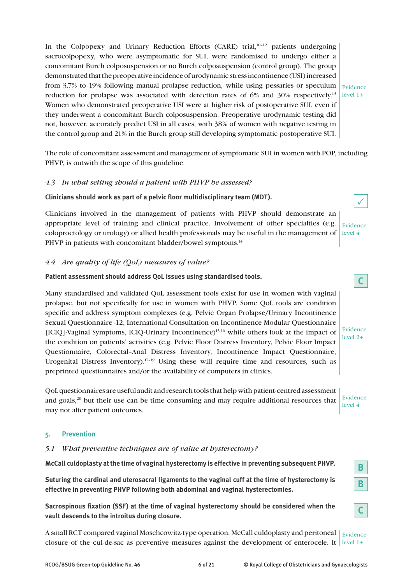In the Colpopexy and Urinary Reduction Efforts (CARE) trial, $10^{-12}$  patients undergoing sacrocolpopexy, who were asymptomatic for SUI, were randomised to undergo either a concomitant Burch colposuspension or no Burch colposuspension (control group). The group demonstrated that the preoperative incidence of urodynamic stress incontinence (USI) increased from 3.7% to 19% following manual prolapse reduction, while using pessaries or speculum  $\frac{1}{\text{Evidence}}$ reduction for prolapse was associated with detection rates of 6% and 30% respectively.<sup>13</sup> level 1+ Women who demonstrated preoperative USI were at higher risk of postoperative SUI, even if they underwent a concomitant Burch colposuspension. Preoperative urodynamic testing did not, however, accurately predict USI in all cases, with 38% of women with negative testing in the control group and 21% in the Burch group still developing symptomatic postoperative SUI.

The role of concomitant assessment and management of symptomatic SUI in women with POP, including PHVP, is outwith the scope of this guideline.

## *4.3 In what setting should a patient with PHVP be assessed?*

## **Clinicians should work as part of a pelvic floor multidisciplinary team (MDT).**

Clinicians involved in the management of patients with PHVP should demonstrate an appropriate level of training and clinical practice. Involvement of other specialties (e.g. coloproctology or urology) or allied health professionals may be useful in the management of PHVP in patients with concomitant bladder/bowel symptoms.<sup>14</sup>

## *4.4 Are quality of life (QoL) measures of value?*

## **Patient assessment should address QoL issues using standardised tools.**

Many standardised and validated QoL assessment tools exist for use in women with vaginal prolapse, but not specifically for use in women with PHVP. Some QoL tools are condition specific and address symptom complexes (e.g. Pelvic Organ Prolapse/Urinary Incontinence Sexual Questionnaire -12, International Consultation on Incontinence Modular Questionnaire [ICIQ]-Vaginal Symptoms, ICIQ-Urinary Incontinence)15,16 while others look at the impact of the condition on patients' activities (e.g. Pelvic Floor Distress Inventory, Pelvic Floor Impact Questionnaire, Colorectal–Anal Distress Inventory, Incontinence Impact Questionnaire, Urogenital Distress Inventory).<sup>17–19</sup> Using these will require time and resources, such as preprinted questionnaires and/or the availability of computers in clinics.

QoL questionnaires are useful audit and research tools that help with patient-centred assessment and goals,<sup>20</sup> but their use can be time consuming and may require additional resources that may not alter patient outcomes.

## **5. Prevention**

## *5.1 What preventive techniques are of value at hysterectomy?*

**McCall culdoplasty at the time of vaginal hysterectomy is effective in preventing subsequent PHVP.**

**Suturing the cardinal and uterosacral ligaments to the vaginal cuff at the time of hysterectomy is effective in preventing PHVP following both abdominal and vaginal hysterectomies.**

**Sacrospinous fixation (SSF) at the time of vaginal hysterectomy should be considered when the vault descends to the introitus during closure.**

A small RCT compared vaginal Moschcowitz-type operation, McCall culdoplasty and peritoneal  $\mid$   $_{\rm Evidence}$ closure of the cul-de-sac as preventive measures against the development of enterocele. It level 1+



Evidence level 4

**C**

Evidence level 2+

Evidence level 4

> **B B**

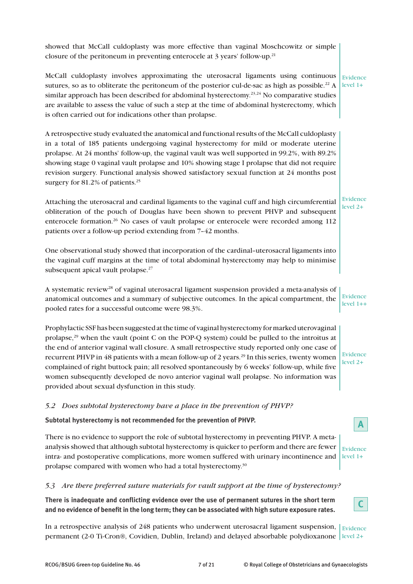| showed that McCall culdoplasty was more effective than vaginal Moschcowitz or simple<br>closure of the peritoneum in preventing enterocele at 3 years' follow-up. <sup>21</sup>                                                                                                                                                                                                                                                                                                                                                                                                                                                                                         |                               |
|-------------------------------------------------------------------------------------------------------------------------------------------------------------------------------------------------------------------------------------------------------------------------------------------------------------------------------------------------------------------------------------------------------------------------------------------------------------------------------------------------------------------------------------------------------------------------------------------------------------------------------------------------------------------------|-------------------------------|
| McCall culdoplasty involves approximating the uterosacral ligaments using continuous<br>sutures, so as to obliterate the peritoneum of the posterior cul-de-sac as high as possible. <sup>22</sup> A<br>similar approach has been described for abdominal hysterectomy. <sup>23,24</sup> No comparative studies<br>are available to assess the value of such a step at the time of abdominal hysterectomy, which<br>is often carried out for indications other than prolapse.                                                                                                                                                                                           | Evidence<br>$level 1+$        |
| A retrospective study evaluated the anatomical and functional results of the McCall culdoplasty<br>in a total of 185 patients undergoing vaginal hysterectomy for mild or moderate uterine<br>prolapse. At 24 months' follow-up, the vaginal vault was well supported in 99.2%, with 89.2%<br>showing stage 0 vaginal vault prolapse and 10% showing stage I prolapse that did not require<br>revision surgery. Functional analysis showed satisfactory sexual function at 24 months post<br>surgery for 81.2% of patients. <sup>25</sup>                                                                                                                               |                               |
| Attaching the uterosacral and cardinal ligaments to the vaginal cuff and high circumferential<br>obliteration of the pouch of Douglas have been shown to prevent PHVP and subsequent<br>enterocele formation. <sup>26</sup> No cases of vault prolapse or enterocele were recorded among 112<br>patients over a follow-up period extending from 7-42 months.                                                                                                                                                                                                                                                                                                            | <b>Evidence</b><br>$level 2+$ |
| One observational study showed that incorporation of the cardinal-uterosacral ligaments into<br>the vaginal cuff margins at the time of total abdominal hysterectomy may help to minimise<br>subsequent apical vault prolapse. <sup>27</sup>                                                                                                                                                                                                                                                                                                                                                                                                                            |                               |
| A systematic review <sup>28</sup> of vaginal uterosacral ligament suspension provided a meta-analysis of<br>anatomical outcomes and a summary of subjective outcomes. In the apical compartment, the<br>pooled rates for a successful outcome were 98.3%.                                                                                                                                                                                                                                                                                                                                                                                                               | Evidence<br>$level 1++$       |
| Prophylactic SSF has been suggested at the time of vaginal hysterectomy for marked uterovaginal<br>prolapse, $^{29}$ when the vault (point C on the POP-Q system) could be pulled to the introitus at<br>the end of anterior vaginal wall closure. A small retrospective study reported only one case of<br>recurrent PHVP in 48 patients with a mean follow-up of 2 years. <sup>29</sup> In this series, twenty women<br>complained of right buttock pain; all resolved spontaneously by 6 weeks' follow-up, while five<br>women subsequently developed de novo anterior vaginal wall prolapse. No information was<br>provided about sexual dysfunction in this study. | Evidence<br>$level 2+$        |
| 5.2 Does subtotal hysterectomy have a place in the prevention of PHVP?                                                                                                                                                                                                                                                                                                                                                                                                                                                                                                                                                                                                  |                               |
| Subtotal hysterectomy is not recommended for the prevention of PHVP.                                                                                                                                                                                                                                                                                                                                                                                                                                                                                                                                                                                                    |                               |
| There is no evidence to support the role of subtotal hysterectomy in preventing PHVP. A meta-<br>analysis showed that although subtotal hysterectomy is quicker to perform and there are fewer<br>intra- and postoperative complications, more women suffered with urinary incontinence and<br>prolapse compared with women who had a total hysterectomy. $30$                                                                                                                                                                                                                                                                                                          | Evidence<br>$level 1+$        |

## *5.3 Are there preferred suture materials for vault support at the time of hysterectomy?*

**There is inadequate and conflicting evidence over the use of permanent sutures in the short term and no evidence of benefit in the long term; they can be associated with high suture exposure rates.**

In a retrospective analysis of 248 patients who underwent uterosacral ligament suspension,  $\vert$  Evidence permanent (2-0 Ti-Cron®, Covidien, Dublin, Ireland) and delayed absorbable polydioxanone level 2+

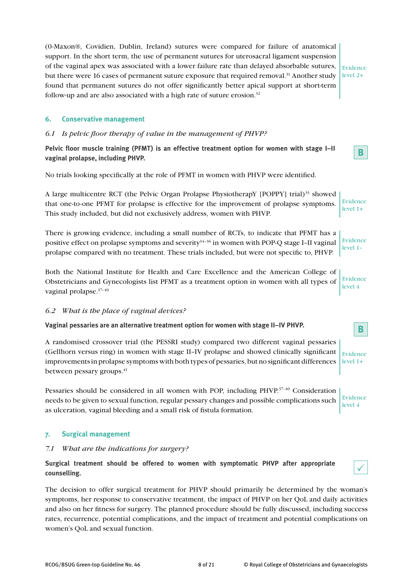(0-Maxon®, Covidien, Dublin, Ireland) sutures were compared for failure of anatomical support. In the short term, the use of permanent sutures for uterosacral ligament suspension of the vaginal apex was associated with a lower failure rate than delayed absorbable sutures, but there were 16 cases of permanent suture exposure that required removal.<sup>31</sup> Another study found that permanent sutures do not offer significantly better apical support at short-term follow-up and are also associated with a high rate of suture erosion. $32$ 

Evidence level 2+

**B**

 $\checkmark$ 

**B**

## **6. Conservative management**

## *6.1 Is pelvic floor therapy of value in the management of PHVP?*

**Pelvic floor muscle training (PFMT) is an effective treatment option for women with stage I–II vaginal prolapse, including PHVP.**

No trials looking specifically at the role of PFMT in women with PHVP were identified.

A large multicentre RCT (the Pelvic Organ Prolapse PhysiotherapY [POPPY] trial)33 showed that one-to-one PFMT for prolapse is effective for the improvement of prolapse symptoms. This study included, but did not exclusively address, women with PHVP. Evidence level 1+

There is growing evidence, including a small number of RCTs, to indicate that PFMT has a positive effect on prolapse symptoms and severity $34-36$  in women with POP-Q stage I–II vaginal prolapse compared with no treatment. These trials included, but were not specific to, PHVP. Evidence level 1–

Both the National Institute for Health and Care Excellence and the American College of Obstetricians and Gynecologists list PFMT as a treatment option in women with all types of vaginal prolapse.37–40 Evidence level 4

## *6.2 What is the place of vaginal devices?*

## **Vaginal pessaries are an alternative treatment option for women with stage II–IV PHVP.**

A randomised crossover trial (the PESSRI study) compared two different vaginal pessaries (Gellhorn versus ring) in women with stage II–IV prolapse and showed clinically significant improvements in prolapse symptoms with both types of pessaries, but no significant differences between pessary groups.<sup>41</sup> Evidence level 1+

Pessaries should be considered in all women with POP, including PHVP.<sup>37-40</sup> Consideration needs to be given to sexual function, regular pessary changes and possible complications such as ulceration, vaginal bleeding and a small risk of fistula formation. Evidence level 4

## **7. Surgical management**

## *7.1 What are the indications for surgery?*

**Surgical treatment should be offered to women with symptomatic PHVP after appropriate counselling.**

The decision to offer surgical treatment for PHVP should primarily be determined by the woman's symptoms, her response to conservative treatment, the impact of PHVP on her QoL and daily activities and also on her fitness for surgery. The planned procedure should be fully discussed, including success rates, recurrence, potential complications, and the impact of treatment and potential complications on women's QoL and sexual function.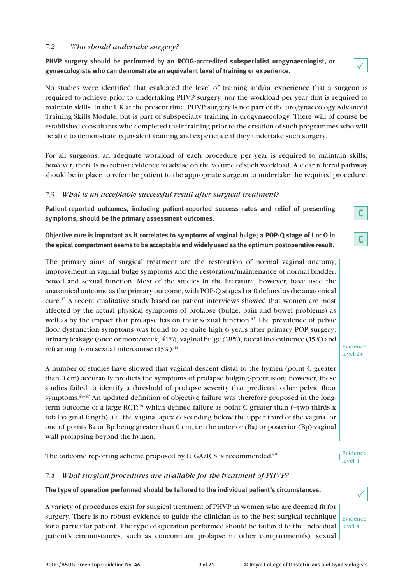## *7.2 Who should undertake surgery?*

**PHVP surgery should be performed by an RCOG-accredited subspecialist urogynaecologist, or gynaecologists who can demonstrate an equivalent level of training or experience.**

No studies were identified that evaluated the level of training and/or experience that a surgeon is required to achieve prior to undertaking PHVP surgery, nor the workload per year that is required to maintain skills. In the UK at the present time, PHVP surgery is not part of the urogynaecology Advanced Training Skills Module, but is part of subspecialty training in urogynaecology. There will of course be established consultants who completed their training prior to the creation of such programmes who will be able to demonstrate equivalent training and experience if they undertake such surgery.

For all surgeons, an adequate workload of each procedure per year is required to maintain skills; however, there is no robust evidence to advise on the volume of such workload. A clear referral pathway should be in place to refer the patient to the appropriate surgeon to undertake the required procedure.

## *7.3 What is an acceptable successful result after surgical treatment?*

**Patient-reported outcomes, including patient-reported success rates and relief of presenting symptoms, should be the primary assessment outcomes.**

**Objective cure is important as it correlates to symptoms of vaginal bulge; a POP-Q stage of I or O in the apical compartment seems to be acceptable and widely used as the optimum postoperative result.**

The primary aims of surgical treatment are the restoration of normal vaginal anatomy, improvement in vaginal bulge symptoms and the restoration/maintenance of normal bladder, bowel and sexual function. Most of the studies in the literature, however, have used the anatomical outcome as the primary outcome, with POP-Q stages I or 0 defined as the anatomical cure.42 A recent qualitative study based on patient interviews showed that women are most affected by the actual physical symptoms of prolapse (bulge, pain and bowel problems) as well as by the impact that prolapse has on their sexual function.<sup>43</sup> The prevalence of pelvic floor dysfunction symptoms was found to be quite high 6 years after primary POP surgery: urinary leakage (once or more/week, 41%), vaginal bulge (18%), faecal incontinence (15%) and refraining from sexual intercourse  $(15\%)$ .<sup>44</sup>

A number of studies have showed that vaginal descent distal to the hymen (point C greater than 0 cm) accurately predicts the symptoms of prolapse bulging/protrusion; however, these studies failed to identify a threshold of prolapse severity that predicted other pelvic floor symptoms.<sup>45-47</sup> An updated definition of objective failure was therefore proposed in the longterm outcome of a large RCT;<sup>48</sup> which defined failure as point C greater than (−two-thirds x total vaginal length), i.e. the vaginal apex descending below the upper third of the vagina, or one of points Ba or Bp being greater than 0 cm, i.e. the anterior (Ba) or posterior (Bp) vaginal wall prolapsing beyond the hymen.

The outcome reporting scheme proposed by IUGA/ICS is recommended.<sup>49</sup>

## *7.4 What surgical procedures are available for the treatment of PHVP?*

**The type of operation performed should be tailored to the individual patient's circumstances.**

A variety of procedures exist for surgical treatment of PHVP in women who are deemed fit for surgery. There is no robust evidence to guide the clinician as to the best surgical technique for a particular patient. The type of operation performed should be tailored to the individual patient's circumstances, such as concomitant prolapse in other compartment(s), sexual

 $\checkmark$ 

Evidence level 4

Evidence level 2+

 $\checkmark$ 

**C**

**C**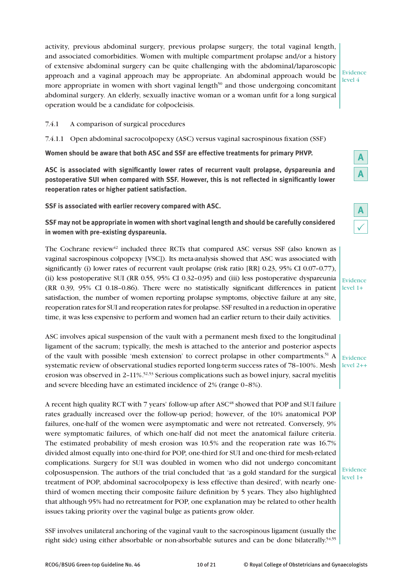activity, previous abdominal surgery, previous prolapse surgery, the total vaginal length, and associated comorbidities. Women with multiple compartment prolapse and/or a history of extensive abdominal surgery can be quite challenging with the abdominal/laparoscopic approach and a vaginal approach may be appropriate. An abdominal approach would be more appropriate in women with short vaginal length<sup>50</sup> and those undergoing concomitant abdominal surgery. An elderly, sexually inactive woman or a woman unfit for a long surgical operation would be a candidate for colpocleisis.

Evidence level 4

#### 7.4.1 A comparison of surgical procedures

7.4.1.1 Open abdominal sacrocolpopexy (ASC) versus vaginal sacrospinous fixation (SSF)

**Women should be aware that both ASC and SSF are effective treatments for primary PHVP.**

**ASC is associated with significantly lower rates of recurrent vault prolapse, dyspareunia and postoperative SUI when compared with SSF. However, this is not reflected in significantly lower reoperation rates or higher patient satisfaction.**

**SSF is associated with earlier recovery compared with ASC.**

**SSF may not be appropriate in women with short vaginal length and should be carefully considered in women with pre-existing dyspareunia.**

The Cochrane review $42$  included three RCTs that compared ASC versus SSF (also known as vaginal sacrospinous colpopexy [VSC]). Its meta-analysis showed that ASC was associated with significantly (i) lower rates of recurrent vault prolapse (risk ratio [RR] 0.23, 95% CI 0.07-0.77), (ii) less postoperative SUI (RR 0.55, 95% CI 0.32–0.95) and (iii) less postoperative dyspareunia (RR 0.39, 95% CI 0.18–0.86). There were no statistically significant differences in patient satisfaction, the number of women reporting prolapse symptoms, objective failure at any site, reoperation rates for SUI and reoperation rates for prolapse. SSF resulted in a reduction in operative time, it was less expensive to perform and women had an earlier return to their daily activities.

ASC involves apical suspension of the vault with a permanent mesh fixed to the longitudinal ligament of the sacrum; typically, the mesh is attached to the anterior and posterior aspects of the vault with possible 'mesh extension' to correct prolapse in other compartments.<sup>51</sup> A systematic review of observational studies reported long-term success rates of 78–100%. Mesh erosion was observed in 2-11%.<sup>52,53</sup> Serious complications such as bowel injury, sacral myelitis and severe bleeding have an estimated incidence of 2% (range 0–8%).

A recent high quality RCT with 7 years' follow-up after ASC<sup>48</sup> showed that POP and SUI failure rates gradually increased over the follow-up period; however, of the 10% anatomical POP failures, one-half of the women were asymptomatic and were not retreated. Conversely, 9% were symptomatic failures, of which one-half did not meet the anatomical failure criteria. The estimated probability of mesh erosion was 10.5% and the reoperation rate was 16.7% divided almost equally into one-third for POP, one-third for SUI and one-third for mesh-related complications. Surgery for SUI was doubled in women who did not undergo concomitant colposuspension. The authors of the trial concluded that 'as a gold standard for the surgical treatment of POP, abdominal sacrocolpopexy is less effective than desired', with nearly onethird of women meeting their composite failure definition by 5 years. They also highlighted that although 95% had no retreatment for POP, one explanation may be related to other health issues taking priority over the vaginal bulge as patients grow older.

SSF involves unilateral anchoring of the vaginal vault to the sacrospinous ligament (usually the right side) using either absorbable or non-absorbable sutures and can be done bilaterally.<sup>54,55</sup>

Evidence level 2++

Evidence level 1+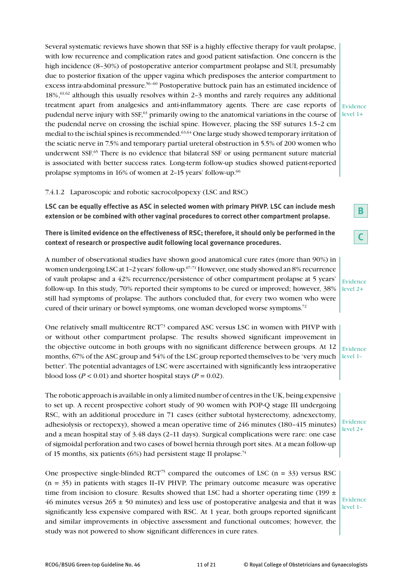Several systematic reviews have shown that SSF is a highly effective therapy for vault prolapse, with low recurrence and complication rates and good patient satisfaction. One concern is the high incidence (8-30%) of postoperative anterior compartment prolapse and SUI, presumably due to posterior fixation of the upper vagina which predisposes the anterior compartment to excess intra-abdominal pressure.56–60 Postoperative buttock pain has an estimated incidence of  $18\%$ ,  $61,62$  although this usually resolves within 2-3 months and rarely requires any additional treatment apart from analgesics and anti-inflammatory agents. There are case reports of pudendal nerve injury with SSF,<sup>63</sup> primarily owing to the anatomical variations in the course of the pudendal nerve on crossing the ischial spine. However, placing the SSF sutures 1.5–2 cm medial to the ischial spines is recommended.<sup>63,64</sup> One large study showed temporary irritation of the sciatic nerve in 7.5% and temporary partial ureteral obstruction in 5.5% of 200 women who underwent SSF.65 There is no evidence that bilateral SSF or using permanent suture material is associated with better success rates. Long-term follow-up studies showed patient-reported prolapse symptoms in 16% of women at 2–15 years' follow-up.66

#### Evidence  $level 1+$

#### 7.4.1.2 Laparoscopic and robotic sacrocolpopexy (LSC and RSC)

**LSC can be equally effective as ASC in selected women with primary PHVP. LSC can include mesh extension or be combined with other vaginal procedures to correct other compartment prolapse.**

**There is limited evidence on the effectiveness of RSC; therefore, it should only be performed in the context of research or prospective audit following local governance procedures.**

A number of observational studies have shown good anatomical cure rates (more than 90%) in women undergoing LSC at 1-2 years' follow-up.<sup>67-71</sup> However, one study showed an 8% recurrence of vault prolapse and a 42% recurrence/persistence of other compartment prolapse at 5 years' follow-up. In this study, 70% reported their symptoms to be cured or improved; however, 38% still had symptoms of prolapse. The authors concluded that, for every two women who were cured of their urinary or bowel symptoms, one woman developed worse symptoms.72

One relatively small multicentre RCT73 compared ASC versus LSC in women with PHVP with or without other compartment prolapse. The results showed significant improvement in the objective outcome in both groups with no significant difference between groups. At 12 months, 67% of the ASC group and 54% of the LSC group reported themselves to be 'very much better'. The potential advantages of LSC were ascertained with significantly less intraoperative blood loss ( $P < 0.01$ ) and shorter hospital stays ( $P = 0.02$ ).

The robotic approach is available in only a limited number of centres in the UK, being expensive to set up. A recent prospective cohort study of 90 women with POP-Q stage III undergoing RSC, with an additional procedure in 71 cases (either subtotal hysterectomy, adnexectomy, adhesiolysis or rectopexy), showed a mean operative time of 246 minutes (180–415 minutes) and a mean hospital stay of 3.48 days (2–11 days). Surgical complications were rare: one case of sigmoidal perforation and two cases of bowel hernia through port sites. At a mean follow-up of 15 months, six patients (6%) had persistent stage II prolapse.<sup>74</sup>

One prospective single-blinded RCT<sup>75</sup> compared the outcomes of LSC ( $n = 33$ ) versus RSC  $(n = 35)$  in patients with stages II–IV PHVP. The primary outcome measure was operative time from incision to closure. Results showed that LSC had a shorter operating time (199  $\pm$ 46 minutes versus  $265 \pm 50$  minutes) and less use of postoperative analgesia and that it was significantly less expensive compared with RSC. At 1 year, both groups reported significant and similar improvements in objective assessment and functional outcomes; however, the study was not powered to show significant differences in cure rates.

**B**

**C**

Evidence level 2+

Evidence level 1–

Evidence level 2+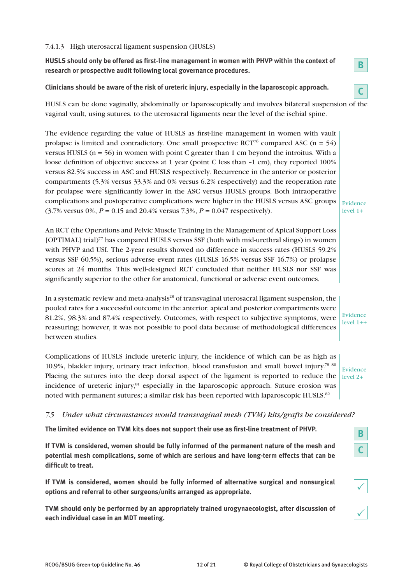## 7.4.1.3 High uterosacral ligament suspension (HUSLS)

**HUSLS should only be offered as first-line management in women with PHVP within the context of research or prospective audit following local governance procedures.**

**Clinicians should be aware of the risk of ureteric injury, especially in the laparoscopic approach.**



**B**

Evidence level 1+

HUSLS can be done vaginally, abdominally or laparoscopically and involves bilateral suspension of the vaginal vault, using sutures, to the uterosacral ligaments near the level of the ischial spine.

The evidence regarding the value of HUSLS as first-line management in women with vault prolapse is limited and contradictory. One small prospective RCT<sup>76</sup> compared ASC ( $n = 54$ ) versus HUSLS ( $n = 56$ ) in women with point C greater than 1 cm beyond the introitus. With a loose definition of objective success at 1 year (point C less than –1 cm), they reported 100% versus 82.5% success in ASC and HUSLS respectively. Recurrence in the anterior or posterior compartments (5.3% versus 33.3% and 0% versus 6.2% respectively) and the reoperation rate for prolapse were significantly lower in the ASC versus HUSLS groups. Both intraoperative complications and postoperative complications were higher in the HUSLS versus ASC groups (3.7% versus 0%, *P* = 0.15 and 20.4% versus 7.3%, *P* = 0.047 respectively).

An RCT (the Operations and Pelvic Muscle Training in the Management of Apical Support Loss [OPTIMAL] trial)77 has compared HUSLS versus SSF (both with mid-urethral slings) in women with PHVP and USI. The 2-year results showed no difference in success rates (HUSLS 59.2% versus SSF 60.5%), serious adverse event rates (HUSLS 16.5% versus SSF 16.7%) or prolapse scores at 24 months. This well-designed RCT concluded that neither HUSLS nor SSF was significantly superior to the other for anatomical, functional or adverse event outcomes.

In a systematic review and meta-analysis<sup>28</sup> of transvaginal uterosacral ligament suspension, the pooled rates for a successful outcome in the anterior, apical and posterior compartments were 81.2%, 98.3% and 87.4% respectively. Outcomes, with respect to subjective symptoms, were reassuring; however, it was not possible to pool data because of methodological differences between studies.

Complications of HUSLS include ureteric injury, the incidence of which can be as high as 10.9%, bladder injury, urinary tract infection, blood transfusion and small bowel injury.78–80 Placing the sutures into the deep dorsal aspect of the ligament is reported to reduce the  $\vert$ level 2+ incidence of ureteric injury, $81$  especially in the laparoscopic approach. Suture erosion was noted with permanent sutures; a similar risk has been reported with laparoscopic HUSLS.<sup>82</sup>

Evidence

Evidence level 1++

## *7.5 Under what circumstances would transvaginal mesh (TVM) kits/grafts be considered?*

**The limited evidence on TVM kits does not support their use as first-line treatment of PHVP.**

**If TVM is considered, women should be fully informed of the permanent nature of the mesh and potential mesh complications, some of which are serious and have long-term effects that can be difficult to treat.**

**If TVM is considered, women should be fully informed of alternative surgical and nonsurgical options and referral to other surgeons/units arranged as appropriate.**

**TVM should only be performed by an appropriately trained urogynaecologist, after discussion of each individual case in an MDT meeting.**



| I<br>ł |
|--------|
|--------|

 $\checkmark$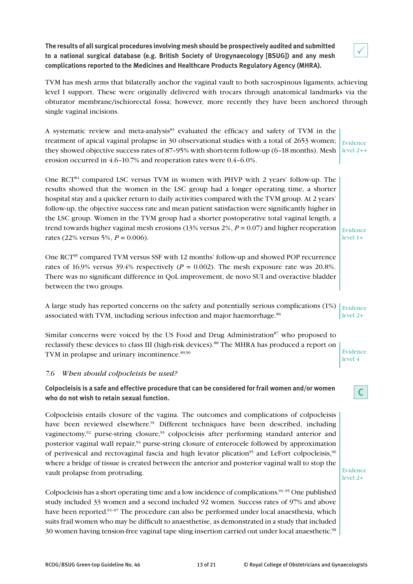**The results of all surgical procedures involving mesh should be prospectively audited and submitted to a national surgical database (e.g. British Society of Urogynaecology [BSUG]) and any mesh complications reported to the Medicines and Healthcare Products Regulatory Agency (MHRA).**



TVM has mesh arms that bilaterally anchor the vaginal vault to both sacrospinous ligaments, achieving level I support. These were originally delivered with trocars through anatomical landmarks via the obturator membrane/ischiorectal fossa; however, more recently they have been anchored through single vaginal incisions.

A systematic review and meta-analysis<sup>83</sup> evaluated the efficacy and safety of TVM in the treatment of apical vaginal prolapse in 30 observational studies with a total of 2653 women; they showed objective success rates of 87–95% with short-term follow-up (6–18 months). Mesh  $\vert$  level 2++ erosion occurred in 4.6–10.7% and reoperation rates were 0.4–6.0%. Evidence

One RCT84 compared LSC versus TVM in women with PHVP with 2 years' follow-up. The results showed that the women in the LSC group had a longer operating time, a shorter hospital stay and a quicker return to daily activities compared with the TVM group. At 2 years' follow-up, the objective success rate and mean patient satisfaction were significantly higher in the LSC group. Women in the TVM group had a shorter postoperative total vaginal length, a trend towards higher vaginal mesh erosions (13% versus 2%, *P* = 0.07) and higher reoperation rates (22% versus 5%, *P* = 0.006).

One RCT<sup>85</sup> compared TVM versus SSF with 12 months' follow-up and showed POP recurrence rates of 16.9% versus 39.4% respectively ( $P = 0.002$ ). The mesh exposure rate was 20.8%. There was no significant difference in QoL improvement, de novo SUI and overactive bladder between the two groups.

A large study has reported concerns on the safety and potentially serious complications (1%)  $\vert$  Evidence associated with TVM, including serious infection and major haemorrhage.<sup>86</sup> level 2+

Similar concerns were voiced by the US Food and Drug Administration<sup>87</sup> who proposed to reclassify these devices to class III (high-risk devices).88 The MHRA has produced a report on TVM in prolapse and urinary incontinence.<sup>89,90</sup>

## *7.6 When should colpocleisis be used?*

**Colpocleisis is a safe and effective procedure that can be considered for frail women and/or women who do not wish to retain sexual function.**

Colpocleisis entails closure of the vagina. The outcomes and complications of colpocleisis have been reviewed elsewhere.<sup>91</sup> Different techniques have been described, including vaginectomy, $92$  purse-string closure, $93$  colpocleisis after performing standard anterior and posterior vaginal wall repair,94 purse-string closure of enterocele followed by approximation of perivesical and rectovaginal fascia and high levator plication<sup>95</sup> and LeFort colpocleisis,<sup>96</sup> where a bridge of tissue is created between the anterior and posterior vaginal wall to stop the vault prolapse from protruding.

Colpocleisis has a short operating time and a low incidence of complications.<sup>93–95</sup> One published study included 33 women and a second included 92 women. Success rates of 97% and above have been reported.<sup>93–97</sup> The procedure can also be performed under local anaesthesia, which suits frail women who may be difficult to anaesthetise, as demonstrated in a study that included 30 women having tension-free vaginal tape sling insertion carried out under local anaesthetic.<sup>98</sup>

Evidence level 1+

Evidence level 4

**C**

Evidence level 2+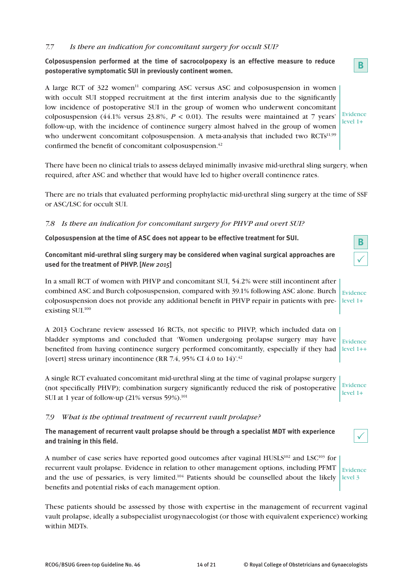## *7.7 Is there an indication for concomitant surgery for occult SUI?*

**Colposuspension performed at the time of sacrocolpopexy is an effective measure to reduce postoperative symptomatic SUI in previously continent women.**

A large RCT of 322 women<sup>11</sup> comparing ASC versus ASC and colposuspension in women with occult SUI stopped recruitment at the first interim analysis due to the significantly low incidence of postoperative SUI in the group of women who underwent concomitant colposuspension (44.1% versus 23.8%,  $P < 0.01$ ). The results were maintained at 7 years' follow-up, with the incidence of continence surgery almost halved in the group of women who underwent concomitant colposuspension. A meta-analysis that included two  $\text{RCTs}^{11,99}$ confirmed the benefit of concomitant colposuspension.<sup>42</sup>

There have been no clinical trials to assess delayed minimally invasive mid-urethral sling surgery, when required, after ASC and whether that would have led to higher overall continence rates.

There are no trials that evaluated performing prophylactic mid-urethral sling surgery at the time of SSF or ASC/LSC for occult SUI.

## *7.8 Is there an indication for concomitant surgery for PHVP and overt SUI?*

**Colposuspension at the time of ASC does not appear to be effective treatment for SUI.**

**Concomitant mid-urethral sling surgery may be considered when vaginal surgical approaches are used for the treatment of PHVP. [***New 2015***]**

In a small RCT of women with PHVP and concomitant SUI, 54.2% were still incontinent after combined ASC and Burch colposuspension, compared with 39.1% following ASC alone. Burch colposuspension does not provide any additional benefit in PHVP repair in patients with preexisting SUI.100 Evidence level 1+

A 2013 Cochrane review assessed 16 RCTs, not specific to PHVP, which included data on bladder symptoms and concluded that 'Women undergoing prolapse surgery may have benefited from having continence surgery performed concomitantly, especially if they had [overt] stress urinary incontinence (RR 7.4, 95% CI 4.0 to 14)'.<sup>42</sup> Evidence

A single RCT evaluated concomitant mid-urethral sling at the time of vaginal prolapse surgery (not specifically PHVP); combination surgery significantly reduced the risk of postoperative SUI at 1 year of follow-up  $(21\% \text{ versus } 59\%).$ <sup>101</sup>

## *7.9 What is the optimal treatment of recurrent vault prolapse?*

**The management of recurrent vault prolapse should be through a specialist MDT with experience and training in this field.**

A number of case series have reported good outcomes after vaginal  $HUSL<sup>102</sup>$  and  $LSC<sup>103</sup>$  for recurrent vault prolapse. Evidence in relation to other management options, including PFMT and the use of pessaries, is very limited.<sup>104</sup> Patients should be counselled about the likely benefits and potential risks of each management option.

These patients should be assessed by those with expertise in the management of recurrent vaginal vault prolapse, ideally a subspecialist urogynaecologist (or those with equivalent experience) working within MDTs.

| ╱ |
|---|
|   |

 $\overline{\mathbf{B}}$ 

 $level 1++$ 

Evidence level 1+

Evidence level 3



Evidence  $level 1+$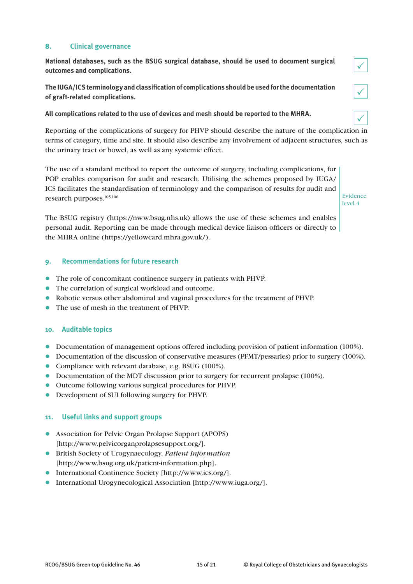## **8. Clinical governance**

**National databases, such as the BSUG surgical database, should be used to document surgical outcomes and complications.**

**The IUGA/ICS terminology and classification of complications should be used for the documentation of graft-related complications.**

**All complications related to the use of devices and mesh should be reported to the MHRA.**

Reporting of the complications of surgery for PHVP should describe the nature of the complication in terms of category, time and site. It should also describe any involvement of adjacent structures, such as the urinary tract or bowel, as well as any systemic effect.

The use of a standard method to report the outcome of surgery, including complications, for POP enables comparison for audit and research. Utilising the schemes proposed by IUGA/ ICS facilitates the standardisation of terminology and the comparison of results for audit and research purposes.105,106

Evidence level 4

 $\checkmark$ 

 $\checkmark$ 

 $\checkmark$ 

The BSUG registry (https://nww.bsug.nhs.uk) allows the use of these schemes and enables personal audit. Reporting can be made through medical device liaison officers or directly to the MHRA online (https://yellowcard.mhra.gov.uk/).

## **9. Recommendations for future research**

- l The role of concomitant continence surgery in patients with PHVP.
- The correlation of surgical workload and outcome.
- l Robotic versus other abdominal and vaginal procedures for the treatment of PHVP.
- The use of mesh in the treatment of PHVP.

## **10. Auditable topics**

- Documentation of management options offered including provision of patient information (100%).
- **·** Documentation of the discussion of conservative measures (PFMT/pessaries) prior to surgery (100%).
- Compliance with relevant database, e.g. BSUG (100%).
- Documentation of the MDT discussion prior to surgery for recurrent prolapse (100%).
- l Outcome following various surgical procedures for PHVP.
- Development of SUI following surgery for PHVP.

## **11. Useful links and support groups**

- **•** Association for Pelvic Organ Prolapse Support (APOPS) [http://www.pelvicorganprolapsesupport.org/].
- l British Society of Urogynaecology. *Patient Information* [http://www.bsug.org.uk/patient-information.php].
- **•** International Continence Society [http://www.ics.org/].
- International Urogynecological Association [http://www.juga.org/].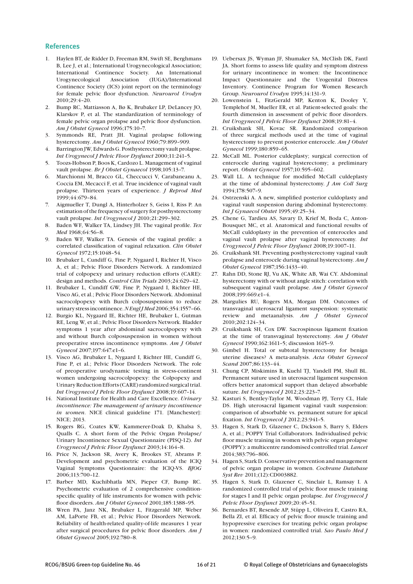#### **References**

- 1. Haylen BT, de Ridder D, Freeman RM, Swift SE, Berghmans B, Lee J, et al.; International Urogynecological Association; International Continence Society. An International Urogynecological Association (IUGA)/International Continence Society (ICS) joint report on the terminology for female pelvic floor dysfunction. *Neurourol Urodyn*  2010;29:4–20.
- 2. Bump RC, Mattiasson A, Bø K, Brubaker LP, DeLancey JO, Klarskov P, et al. The standardization of terminology of female pelvic organ prolapse and pelvic floor dysfunction. *Am J Obstet Gynecol* 1996;175:10–7.
- 3. Symmonds RE, Pratt JH. Vaginal prolapse following hysterectomy. *Am J Obstet Gynecol* 1960;79:899–909.
- 4. Barrington JW, Edwards G. Posthysterectomy vault prolapse. *Int Urogynecol J Pelvic Floor Dysfunct* 2000;11:241–5.
- 5. Toozs-Hobson P, Boos K, Cardozo L. Management of vaginal vault prolapse. *Br J Obstet Gynaecol* 1998;105:13–7.
- 6. Marchionni M, Bracco GL, Checcucci V, Carabaneanu A, Coccia EM, Mecacci F, et al. True incidence of vaginal vault prolapse. Thirteen years of experience. *J Reprod Med*  1999;44:679–84.
- 7. Aigmueller T, Dungl A, Hinterholzer S, Geiss I, Riss P. An estimation of the frequency of surgery for posthysterectomy vault prolapse. *Int Urogynecol J* 2010;21:299–302.
- 8. Baden WF, Walker TA, Lindsey JH. The vaginal profile. *Tex Med* 1968;64:56–8.
- 9. Baden WF, Walker TA. Genesis of the vaginal profile: a correlated classification of vaginal relaxation. *Clin Obstet Gynecol* 1972;15:1048–54.
- 10. Brubaker L, Cundiff G, Fine P, Nygaard I, Richter H, Visco A, et al.; Pelvic Floor Disorders Network. A randomized trial of colpopexy and urinary reduction efforts (CARE): design and methods. *Control Clin Trials* 2003;24:629–42.
- 11. Brubaker L, Cundiff GW, Fine P, Nygaard I, Richter HE, Visco AG, et al.; Pelvic Floor Disorders Network. Abdominal sacrocolpopexy with Burch colposuspension to reduce urinary stress incontinence. *N Engl J Med* 2006;354:1557–66.
- 12. Burgio KL, Nygaard IE, Richter HE, Brubaker L, Gutman RE, Leng W, et al.; Pelvic Floor Disorders Network. Bladder symptoms 1 year after abdominal sacrocolpopexy with and without Burch colposuspension in women without preoperative stress incontinence symptoms. *Am J Obstet Gynecol* 2007;197:647.e1–6.
- 13. Visco AG, Brubaker L, Nygaard I, Richter HE, Cundiff G, Fine P, et al.; Pelvic Floor Disorders Network. The role of preoperative urodynamic testing in stress-continent women undergoing sacrocolpopexy: the Colpopexy and Urinary Reduction Efforts (CARE) randomized surgical trial. *Int Urogynecol J Pelvic Floor Dysfunct* 2008;19:607–14.
- 14. National Institute for Health and Care Excellence. *Urinary incontinence: The management of urinary incontinence in women*. NICE clinical guideline 171. [Manchester]: NICE; 2013.
- 15. Rogers RG, Coates KW, Kammerer-Doak D, Khalsa S, Qualls C. A short form of the Pelvic Organ Prolapse/ Urinary Incontinence Sexual Questionnaire (PISQ-12). *Int Urogynecol J Pelvic Floor Dysfunct* 2003;14:164–8.
- 16. Price N, Jackson SR, Avery K, Brookes ST, Abrams P. Development and psychometric evaluation of the ICIQ Vaginal Symptoms Questionnaire: the ICIQ-VS. *BJOG* 2006;113:700–12.
- 17. Barber MD, Kuchibhatla MN, Pieper CF, Bump RC. Psychometric evaluation of 2 comprehensive conditionspecific quality of life instruments for women with pelvic floor disorders. *Am J Obstet Gynecol* 2001;185:1388–95.
- 18. Wren PA, Janz NK, Brubaker L, Fitzgerald MP, Weber AM, LaPorte FB, et al.; Pelvic Floor Disorders Network. Reliability of health-related quality-of-life measures 1 year after surgical procedures for pelvic floor disorders. *Am J Obstet Gynecol* 2005;192:780–8.
- 19. Uebersax JS, Wyman JF, Shumaker SA, McClish DK, Fantl JA. Short forms to assess life quality and symptom distress for urinary incontinence in women: the Incontinence Impact Questionnaire and the Urogenital Distress Inventory. Continence Program for Women Research Group. *Neurourol Urodyn* 1995;14:131–9.
- 20. Lowenstein L, FitzGerald MP, Kenton K, Dooley Y, Templehof M, Mueller ER, et al. Patient-selected goals: the fourth dimension in assessment of pelvic floor disorders. *Int Urogynecol J Pelvic Floor Dysfunct* 2008;19:81–4.
- 21. Cruikshank SH, Kovac SR. Randomized comparison of three surgical methods used at the time of vaginal hysterectomy to prevent posterior enterocele. *Am J Obstet Gynecol* 1999;180:859–65.
- 22. McCall ML. Posterior culdeplasty; surgical correction of enterocele during vaginal hysterectomy; a preliminary report. *Obstet Gynecol* 1957;10:595–602.
- 23. Wall LL. A technique for modified McCall culdeplasty at the time of abdominal hysterectomy. *J Am Coll Surg*  1994;178:507–9.
- 24. Ostrzenski A. A new, simplified posterior culdoplasty and vaginal vault suspension during abdominal hysterectomy. *Int J Gynaecol Obstet* 1995;49:25–34.
- 25. Chene G, Tardieu AS, Savary D, Krief M, Boda C, Anton-Bousquet MC, et al. Anatomical and functional results of McCall culdoplasty in the prevention of enteroceles and vaginal vault prolapse after vaginal hysterectomy. *Int Urogynecol J Pelvic Floor Dysfunct* 2008;19:1007–11.
- 26. Cruikshank SH. Preventing posthysterectomy vaginal vault prolapse and enterocele during vaginal hysterectomy. *Am J Obstet Gynecol* 1987;156:1433–40.
- 27. Rahn DD, Stone RJ, Vu AK, White AB, Wai CY. Abdominal hysterectomy with or without angle stitch: correlation with subsequent vaginal vault prolapse. *Am J Obstet Gynecol*  2008;199:669.e1–4.
- 28. Margulies RU, Rogers MA, Morgan DM. Outcomes of transvaginal uterosacral ligament suspension: systematic review and metaanalysis. *Am J Obstet Gynecol*  2010;202:124–34.
- 29. Cruikshank SH, Cox DW. Sacrospinous ligament fixation at the time of transvaginal hysterectomy. *Am J Obstet Gynecol* 1990;162:1611–5; discussion 1615–9.
- 30. Gimbel H. Total or subtotal hysterectomy for benign uterine diseases? A meta-analysis. *Acta Obstet Gynecol Scand* 2007;86:133–44.
- 31. Chung CP, Miskimins R, Kuehl TJ, Yandell PM, Shull BL. Permanent suture used in uterosacral ligament suspension offers better anatomical support than delayed absorbable suture. *Int Urogynecol J* 2012;23:223–7.
- 32. Kasturi S, Bentley-Taylor M, Woodman PJ, Terry CL, Hale DS. High uterosacral ligament vaginal vault suspension: comparison of absorbable vs. permanent suture for apical fixation. *Int Urogynecol J* 2012;23:941–5.
- 33. Hagen S, Stark D, Glazener C, Dickson S, Barry S, Elders A, et al.; POPPY Trial Collaborators. Individualised pelvic floor muscle training in women with pelvic organ prolapse (POPPY): a multicentre randomised controlled trial. *Lancet* 2014;383:796–806.
- 34. Hagen S, Stark D. Conservative prevention and management of pelvic organ prolapse in women. *Cochrane Database Syst Rev* 2011;(12):CD003882.
- 35. Hagen S, Stark D, Glazener C, Sinclair L, Ramsay I. A randomized controlled trial of pelvic floor muscle training for stages I and II pelvic organ prolapse. *Int Urogynecol J Pelvic Floor Dysfunct* 2009;20:45–51.
- 36. Bernardes BT, Resende AP, Stüpp L, Oliveira E, Castro RA, Bella ZI, et al. Efficacy of pelvic floor muscle training and hypopressive exercises for treating pelvic organ prolapse in women: randomized controlled trial. *Sao Paulo Med J*  2012;130:5–9.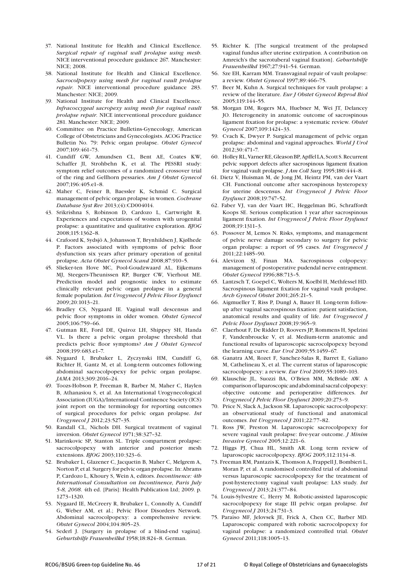- 37. National Institute for Health and Clinical Excellence. *Surgical repair of vaginal wall prolapse using mesh*. NICE interventional procedure guidance 267. Manchester: NICE; 2008.
- 38. National Institute for Health and Clinical Excellence. *Sacrocolpopexy using mesh for vaginal vault prolapse repair*. NICE interventional procedure guidance 283. Manchester: NICE; 2009.
- 39. National Institute for Health and Clinical Excellence. *Infracoccygeal sacropexy using mesh for vaginal vault prolapse repair*. NICE interventional procedure guidance 281. Manchester: NICE; 2009.
- 40. Committee on Practice Bulletins-Gynecology, American College of Obstetricians and Gynecologists. ACOG Practice Bulletin No. 79: Pelvic organ prolapse. *Obstet Gynecol*  2007;109:461–73.
- 41. Cundiff GW, Amundsen CL, Bent AE, Coates KW, Schaffer JI, Strohbehn K, et al. The PESSRI study: symptom relief outcomes of a randomized crossover trial of the ring and Gellhorn pessaries. *Am J Obstet Gynecol*  2007;196:405.e1–8.
- 42. Maher C, Feiner B, Baessler K, Schmid C. Surgical management of pelvic organ prolapse in women. *Cochrane Database Syst Rev* 2013;(4):CD004014.
- 43. Srikrishna S, Robinson D, Cardozo L, Cartwright R. Experiences and expectations of women with urogenital prolapse: a quantitative and qualitative exploration. *BJOG*  2008;115:1362–8.
- 44. Crafoord K, Sydsjö A, Johansson T, Brynhildsen J, Kjølhede P. Factors associated with symptoms of pelvic floor dysfunction six years after primary operation of genital prolapse. *Acta Obstet Gynecol Scand* 2008;87:910–5.
- 45. Slieker-ten Hove MC, Pool-Goudzwaard AL, Eijkemans MJ, Steegers-Theunissen RP, Burger CW, Vierhout ME. Prediction model and prognostic index to estimate clinically relevant pelvic organ prolapse in a general female population. *Int Urogynecol J Pelvic Floor Dysfunct*  2009;20:1013–21.
- 46. Bradley CS, Nygaard IE. Vaginal wall descensus and pelvic floor symptoms in older women. *Obstet Gynecol*  2005;106:759–66.
- 47. Gutman RE, Ford DE, Quiroz LH, Shippey SH, Handa VL. Is there a pelvic organ prolapse threshold that predicts pelvic floor symptoms? *Am J Obstet Gynecol*  2008;199:683.e1–7.
- 48. Nygaard I, Brubaker L, Zyczynski HM, Cundiff G, Richter H, Gantz M, et al. Long-term outcomes following abdominal sacrocolpopexy for pelvic organ prolapse. *JAMA* 2013;309:2016–24.
- 49. Toozs-Hobson P, Freeman R, Barber M, Maher C, Haylen B, Athanasiou S, et al. An International Urogynecological Association (IUGA)/International Continence Society (ICS) joint report on the terminology for reporting outcomes of surgical procedures for pelvic organ prolapse. *Int Urogynecol J* 2012;23:527–35.
- 50. Randall CL, Nichols DH. Surgical treatment of vaginal inversion. *Obstet Gynecol* 1971;38:327–32.
- 51. Marinkovic SP, Stanton SL. Triple compartment prolapse: sacrocolpopexy with anterior and posterior mesh extensions. *BJOG* 2003;110:323–6.
- 52. Brubaker L, Glazener C, Jacquetin B, Maher C, Melgrem A, Norton P, et al. Surgery for pelvic organ prolapse. In: Abrams P, Cardozo L, Khoury S, Wein A, editors. *Incontinence: 4th International Consultation on Incontinence, Paris July 5-8, 2008*. 4th ed. [Paris]: Health Publication Ltd; 2009. p. 1273–1320.
- 53. Nygaard IE, McCreery R, Brubaker L, Connolly A, Cundiff G, Weber AM, et al.; Pelvic Floor Disorders Network. Abdominal sacrocolpopexy: a comprehensive review. *Obstet Gynecol* 2004;104:805–23.
- 54. Sederl J. [Surgery in prolapse of a blind-end vagina]. *Geburtshilfe Frauenheilkd* 1958;18:824–8. German.
- 55. Richter K. [The surgical treatment of the prolapsed vaginal fundus after uterine extirpation. A contribution on Amreich's the sacrotuberal vaginal fixation]. *Geburtshilfe Frauenheilkd* 1967;27:941–54. German.
- 56. Sze EH, Karram MM. Transvaginal repair of vault prolapse: a review. *Obstet Gynecol* 1997;89:466–75.
- 57. Beer M, Kuhn A. Surgical techniques for vault prolapse: a review of the literature. *Eur J Obstet Gynecol Reprod Biol*  2005;119:144–55.
- 58. Morgan DM, Rogers MA, Huebner M, Wei JT, Delancey JO. Heterogeneity in anatomic outcome of sacrospinous ligament fixation for prolapse: a systematic review. *Obstet Gynecol* 2007;109:1424–33.
- 59. Cvach K, Dwyer P. Surgical management of pelvic organ prolapse: abdominal and vaginal approaches. *World J Urol*   $2012:30:471-7$
- 60. Holley RL, Varner RE, Gleason BP, Apffel LA, Scott S. Recurrent pelvic support defects after sacrospinous ligament fixation for vaginal vault prolapse. *J Am Coll Surg* 1995;180:444–8.
- 61. Dietz V, Huisman M, de Jong JM, Heintz PM, van der Vaart CH. Functional outcome after sacrospinous hysteropexy for uterine descensus. *Int Urogynecol J Pelvic Floor Dysfunct* 2008;19:747–52.
- 62. Faber VJ, van der Vaart HC, Heggelman BG, Schraffordt Koops SE. Serious complication 1 year after sacrospinous ligament fixation. *Int Urogynecol J Pelvic Floor Dysfunct*  2008;19:1311–3.
- 63. Possover M, Lemos N. Risks, symptoms, and management of pelvic nerve damage secondary to surgery for pelvic organ prolapse: a report of 95 cases. *Int Urogynecol J*  2011;22:1485–90.
- 64. Alevizon SJ, Finan MA. Sacrospinous colpopexy: management of postoperative pudendal nerve entrapment. *Obstet Gynecol* 1996;88:713–5.
- 65. Lantzsch T, Goepel C, Wolters M, Koelbl H, Methfessel HD. Sacrospinous ligament fixation for vaginal vault prolapse. *Arch Gynecol Obstet* 2001;265:21–5.
- 66. Aigmueller T, Riss P, Dungl A, Bauer H. Long-term followup after vaginal sacrospinous fixation: patient satisfaction, anatomical results and quality of life. *Int Urogynecol J Pelvic Floor Dysfunct* 2008;19:965–9.
- 67. Claerhout F, De Ridder D, Roovers JP, Rommens H, Spelzini F, Vandenbroucke V, et al. Medium-term anatomic and functional results of laparoscopic sacrocolpopexy beyond the learning curve. *Eur Urol* 2009;55:1459–67.
- 68. Ganatra AM, Rozet F, Sanchez-Salas R, Barret E, Galiano M, Cathelineau X, et al. The current status of laparoscopic sacrocolpopexy: a review. *Eur Urol* 2009;55:1089–103.
- 69. Klauschie JL, Suozzi BA, O'Brien MM, McBride AW. A comparison of laparoscopic and abdominal sacral colpopexy: objective outcome and perioperative differences. *Int Urogynecol J Pelvic Floor Dysfunct* 2009;20:273–9.
- 70. Price N, Slack A, Jackson SR. Laparoscopic sacrocolpopexy: an observational study of functional and anatomical outcomes. *Int Urogynecol J* 2011;22:77–82.
- 71. Ross JW, Preston M. Laparoscopic sacrocolpopexy for severe vaginal vault prolapse: five-year outcome. *J Minim Invasive Gynecol* 2005;12:221–6.
- 72. Higgs PJ, Chua HL, Smith AR. Long term review of laparoscopic sacrocolpopexy. *BJOG* 2005;112:1134–8.
- 73. Freeman RM, Pantazis K, Thomson A, Frappell J, Bombieri L, Moran P, et al. A randomised controlled trial of abdominal versus laparoscopic sacrocolpopexy for the treatment of post-hysterectomy vaginal vault prolapse: LAS study. *Int Urogynecol J* 2013;24:377–84.
- 74. Louis-Sylvestre C, Herry M. Robotic-assisted laparoscopic sacrocolpopexy for stage III pelvic organ prolapse. *Int Urogynecol J* 2013;24:731–3.
- 75. Paraiso MF, Jelovsek JE, Frick A, Chen CC, Barber MD. Laparoscopic compared with robotic sacrocolpopexy for vaginal prolapse: a randomized controlled trial. *Obstet Gynecol* 2011;118:1005–13.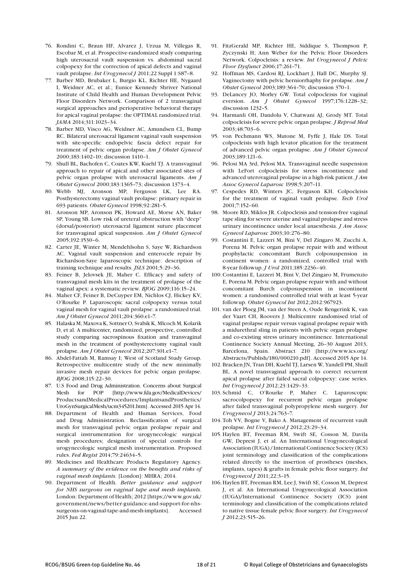- 76. Rondini C, Braun HF, Alvarez J, Urzua M, Villegas R, Escobar M, et al. Prospective-randomized study comparing high uterosacral vault suspension vs. abdominal sacral colpopexy for the correction of apical defects and vaginal vault prolapse. *Int Urogynecol J* 2011;22 Suppl 1:S87–8.
- 77. Barber MD, Brubaker L, Burgio KL, Richter HE, Nygaard I, Weidner AC, et al.; Eunice Kennedy Shriver National Institute of Child Health and Human Development Pelvic Floor Disorders Network. Comparison of 2 transvaginal surgical approaches and perioperative behavioral therapy for apical vaginal prolapse: the OPTIMAL randomized trial. *JAMA* 2014;311:1023–34.
- 78. Barber MD, Visco AG, Weidner AC, Amundsen CL, Bump RC. Bilateral uterosacral ligament vaginal vault suspension with site-specific endopelvic fascia defect repair for treatment of pelvic organ prolapse. *Am J Obstet Gynecol*  2000;183:1402–10; discussion 1410–1.
- 79. Shull BL, Bachofen C, Coates KW, Kuehl TJ. A transvaginal approach to repair of apical and other associated sites of pelvic organ prolapse with uterosacral ligaments. *Am J Obstet Gynecol* 2000;183:1365–73; discussion 1373–4.
- 80. Webb MJ, Aronson MP, Ferguson LK, Lee RA. Posthysterectomy vaginal vault prolapse: primary repair in 693 patients. *Obstet Gynecol* 1998;92:281–5.
- 81. Aronson MP, Aronson PK, Howard AE, Morse AN, Baker SP, Young SB. Low risk of ureteral obstruction with "deep" (dorsal/posterior) uterosacral ligament suture placement for transvaginal apical suspension. *Am J Obstet Gynecol*  2005;192:1530–6.
- 82. Carter JE, Winter M, Mendehlsohn S, Saye W, Richardson AC. Vaginal vault suspension and enterocele repair by Richardson-Saye laparoscopic technique: description of training technique and results. *JSLS* 2001;5:29–36.
- 83. Feiner B, Jelovsek JE, Maher C. Efficacy and safety of transvaginal mesh kits in the treatment of prolapse of the vaginal apex: a systematic review. *BJOG* 2009;116:15–24.
- 84. Maher CF, Feiner B, DeCuyper EM, Nichlos CJ, Hickey KV, O'Rourke P. Laparoscopic sacral colpopexy versus total vaginal mesh for vaginal vault prolapse: a randomized trial. *Am J Obstet Gynecol* 2011;204:360.e1–7.
- 85. Halaska M, Maxova K, Sottner O, Svabik K, Mlcoch M, Kolarik D, et al. A multicenter, randomized, prospective, controlled study comparing sacrospinous fixation and transvaginal mesh in the treatment of posthysterectomy vaginal vault prolapse. *Am J Obstet Gynecol* 2012;207:301.e1–7.
- 86. Abdel-Fattah M, Ramsay I; West of Scotland Study Group. Retrospective multicentre study of the new minimally invasive mesh repair devices for pelvic organ prolapse. *BJOG* 2008;115:22–30.
- 87. U.S Food and Drug Administration. Concerns about Surgical Mesh for POP [http://www.fda.gov/MedicalDevices/ ProductsandMedicalProcedures/ImplantsandProsthetics/ UroGynSurgicalMesh/ucm345201.htm]. Accessed 2015 Apr 14.
- 88. Department of Health and Human Services, Food and Drug Administration. Reclassification of surgical mesh for transvaginal pelvic organ prolapse repair and surgical instrumentation for urogynecologic surgical mesh procedures; designation of special controls for urogynecologic surgical mesh instrumentation. Proposed rules. *Fed Regist* 2014;79:24634–5.
- 89. Medicines and Healthcare Products Regulatory Agency. *A summary of the evidence on the benefits and risks of vaginal mesh implants*. [London]: MHRA; 2014.
- 90. Department of Health. *Better guidance and support for NHS surgeons on vaginal tape and mesh implants*. London: Department of Health; 2012 [https://www.gov.uk/ government/news/better-guidance-and-support-for-nhssurgeons-on-vaginal-tape-and-mesh-implants]. Accessed 2015 Jun 22.
- 91. FitzGerald MP, Richter HE, Siddique S, Thompson P, Zyczynski H; Ann Weber for the Pelvic Floor Disorders Network. Colpocleisis: a review. *Int Urogynecol J Pelvic Floor Dysfunct* 2006;17:261–71.
- 92. Hoffman MS, Cardosi RJ, Lockhart J, Hall DC, Murphy SJ. Vaginectomy with pelvic herniorrhaphy for prolapse. *Am J Obstet Gynecol* 2003;189:364–70; discussion 370–1.
- 93. DeLancey JO, Morley GW. Total colpocleisis for vaginal eversion. *Am J Obstet Gynecol* 1997;176:1228–32; discussion 1232–5.
- 94. Harmanli OH, Dandolu V, Chatwani AJ, Grody MT. Total colpocleisis for severe pelvic organ prolapse. *J Reprod Med*  2003;48:703–6.
- 95. von Pechmann WS, Mutone M, Fyffe J, Hale DS. Total colpocleisis with high levator plication for the treatment of advanced pelvic organ prolapse. *Am J Obstet Gynecol*  2003;189:121–6.
- 96. Pelosi MA 3rd, Pelosi MA. Transvaginal needle suspension with LeFort colpocleisis for stress incontinence and advanced uterovaginal prolapse in a high-risk patient. *J Am Assoc Gynecol Laparosc* 1998;5:207–11.
- 97. Cespedes RD, Winters JC, Ferguson KH. Colpocleisis for the treatment of vaginal vault prolapse. *Tech Urol*  2001;7:152–60.
- 98. Moore RD, Miklos JR. Colpocleisis and tension-free vaginal tape sling for severe uterine and vaginal prolapse and stress urinary incontinence under local anaesthesia. *J Am Assoc Gynecol Laparosc* 2003;10:276–80.
- 99. Costantini E, Lazzeri M, Bini V, Del Zingaro M, Zucchi A, Porena M. Pelvic organ prolapse repair with and without prophylactic concomitant Burch colposuspension in continent women: a randomized, controlled trial with 8-year followup. *J Urol* 2011;185:2236–40.
- 100.Costantini E, Lazzeri M, Bini V, Del Zingaro M, Frumenzio E, Porena M. Pelvic organ prolapse repair with and without concomitant Burch colposuspension in incontinent women: a randomised controlled trial with at least 5-year followup. *Obstet Gynecol Int* 2012;2012:967923.
- 101. van der Ploeg JM, van der Steen A, Oude Rengerink K, van der Vaart CH, Roovers J. Multicentre randomised trial of vaginal prolapse repair versus vaginal prolapse repair with a midurethral sling in patients with pelvic organ prolapse and co-existing stress urinary incontinence. International Continence Society Annual Meeting, 26–30 August 2013, Barcelona, Spain. Abstract 210 [http://www.ics.org/ Abstracts/Publish/180/000210.pdf]. Accessed 2015 Apr 14.
- 102. Bracken JN, Tran DH, Kuehl TJ, Larsen W, Yandell PM, Shull BL. A novel transvaginal approach to correct recurrent apical prolapse after failed sacral colpopexy: case series. *Int Urogynecol J* 2012;23:1429–33.
- 103. Schmid C, O'Rourke P, Maher C. Laparoscopic sacrocolpopexy for recurrent pelvic organ prolapse after failed transvaginal polypropylene mesh surgery. *Int Urogynecol J* 2013;24:763–7.
- 104. Toh VV, Bogne V, Bako A. Management of recurrent vault prolapse. *Int Urogynecol J* 2012;23:29–34.
- 105. Haylen BT, Freeman RM, Swift SE, Cosson M, Davila GW, Deprest J, et al. An International Urogynecological Association (IUGA) / International Continence Society (ICS) joint terminology and classification of the complications related directly to the insertion of prostheses (meshes, implants, tapes) & grafts in female pelvic floor surgery. *Int Urogynecol J* 2011;22:3–15.
- 106.Haylen BT, Freeman RM, Lee J, Swift SE, Cosson M, Deprest J, et al. An International Urogynecological Association (IUGA)/International Continence Society (ICS) joint terminology and classification of the complications related to native tissue female pelvic floor surgery. *Int Urogynecol J* 2012;23:515–26.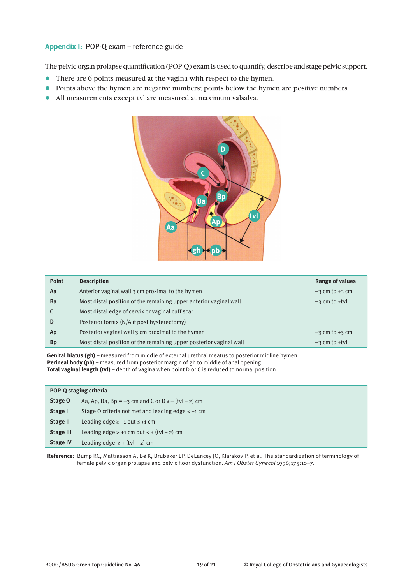## **Appendix I:** POP-Q exam – reference guide

The pelvic organ prolapse quantification (POP-Q) exam is used to quantify, describe and stage pelvic support.

- l There are 6 points measured at the vagina with respect to the hymen.
- Points above the hymen are negative numbers; points below the hymen are positive numbers.
- l All measurements except tvl are measured at maximum valsalva.



| <b>Point</b> | <b>Description</b>                                                 | <b>Range of values</b> |
|--------------|--------------------------------------------------------------------|------------------------|
| Aa           | Anterior vaginal wall 3 cm proximal to the hymen                   | $-3$ cm to $+3$ cm     |
| Ba           | Most distal position of the remaining upper anterior vaginal wall  | $-3$ cm to +tyl        |
|              | Most distal edge of cervix or vaginal cuff scar                    |                        |
| D            | Posterior fornix (N/A if post hysterectomy)                        |                        |
| Ap           | Posterior vaginal wall 3 cm proximal to the hymen                  | $-3$ cm to $+3$ cm     |
| <b>Bp</b>    | Most distal position of the remaining upper posterior vaginal wall | $-3$ cm to +tyl        |

**Genital hiatus (gh)** – measured from middle of external urethral meatus to posterior midline hymen **Perineal body (pb)** – measured from posterior margin of gh to middle of anal opening **Total vaginal length (tvl)** – depth of vagina when point D or C is reduced to normal position

|                  | POP-Q staging criteria                                      |  |
|------------------|-------------------------------------------------------------|--|
| Stage O          | Aa, Ap, Ba, Bp = $-3$ cm and C or D $\leq -$ (tvl $-2$ ) cm |  |
| Stage I          | Stage O criteria not met and leading edge $\lt$ -1 cm       |  |
| <b>Stage II</b>  | Leading edge $\ge -1$ but $\le +1$ cm                       |  |
| <b>Stage III</b> | Leading edge $> +1$ cm but $< +$ (tvl $-2$ ) cm             |  |
| <b>Stage IV</b>  | Leading edge $\ge$ + (tvl - 2) cm                           |  |

**Reference:** Bump RC, Mattiasson A, Bø K, Brubaker LP, DeLancey JO, Klarskov P, et al. The standardization of terminology of female pelvic organ prolapse and pelvic floor dysfunction. *Am J Obstet Gynecol* 1996;175:10–7.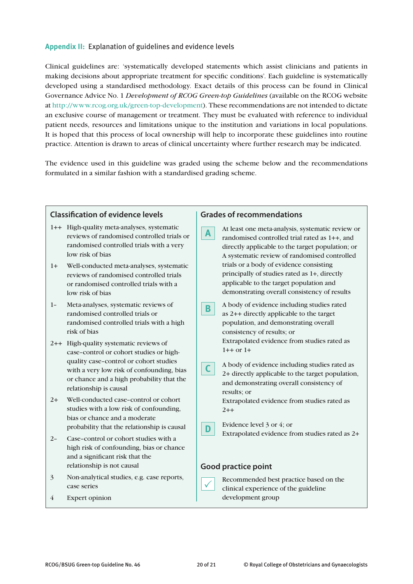## **Appendix II:** Explanation of guidelines and evidence levels

Clinical guidelines are: 'systematically developed statements which assist clinicians and patients in making decisions about appropriate treatment for specific conditions'. Each guideline is systematically developed using a standardised methodology. Exact details of this process can be found in Clinical Governance Advice No. 1 *Development of RCOG Green-top Guidelines* (available on the RCOG website at http://www.rcog.org.uk/green-top-development). These recommendations are not intended to dictate an exclusive course of management or treatment. They must be evaluated with reference to individual patient needs, resources and limitations unique to the institution and variations in local populations. It is hoped that this process of local ownership will help to incorporate these guidelines into routine practice. Attention is drawn to areas of clinical uncertainty where further research may be indicated.

The evidence used in this guideline was graded using the scheme below and the recommendations formulated in a similar fashion with a standardised grading scheme.